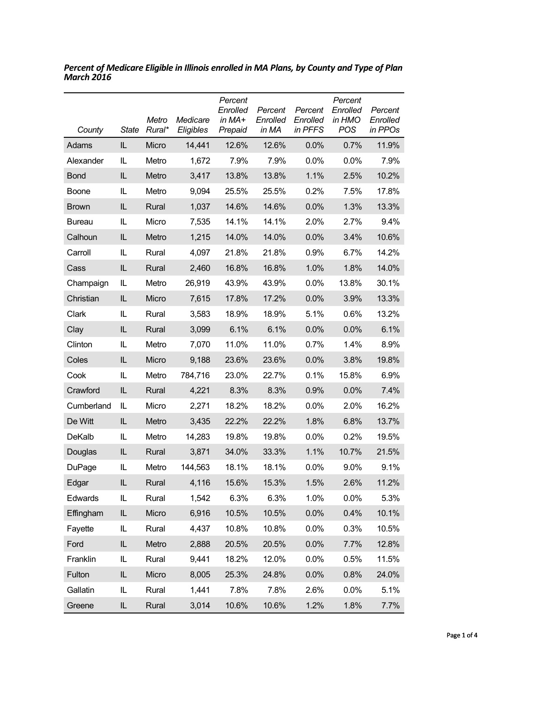| County        | <b>State</b> | Metro<br>Rural* | Medicare<br>Eligibles | Percent<br>Enrolled<br>in MA+<br>Prepaid | Percent<br>Enrolled<br>in MA | Percent<br>Enrolled<br>in PFFS | Percent<br>Enrolled<br>in HMO<br>POS | Percent<br>Enrolled<br>in PPOs |
|---------------|--------------|-----------------|-----------------------|------------------------------------------|------------------------------|--------------------------------|--------------------------------------|--------------------------------|
| Adams         | IL.          | Micro           | 14,441                | 12.6%                                    | 12.6%                        | 0.0%                           | 0.7%                                 | 11.9%                          |
| Alexander     | IL           | Metro           | 1,672                 | 7.9%                                     | 7.9%                         | $0.0\%$                        | 0.0%                                 | 7.9%                           |
| <b>Bond</b>   | IL.          | Metro           | 3,417                 | 13.8%                                    | 13.8%                        | 1.1%                           | 2.5%                                 | 10.2%                          |
| <b>Boone</b>  | IL           | Metro           | 9,094                 | 25.5%                                    | 25.5%                        | 0.2%                           | 7.5%                                 | 17.8%                          |
| <b>Brown</b>  | IL.          | Rural           | 1,037                 | 14.6%                                    | 14.6%                        | 0.0%                           | 1.3%                                 | 13.3%                          |
| <b>Bureau</b> | IL           | Micro           | 7,535                 | 14.1%                                    | 14.1%                        | 2.0%                           | 2.7%                                 | 9.4%                           |
| Calhoun       | IL.          | Metro           | 1,215                 | 14.0%                                    | 14.0%                        | 0.0%                           | 3.4%                                 | 10.6%                          |
| Carroll       | IL.          | Rural           | 4,097                 | 21.8%                                    | 21.8%                        | 0.9%                           | 6.7%                                 | 14.2%                          |
| Cass          | IL.          | Rural           | 2,460                 | 16.8%                                    | 16.8%                        | 1.0%                           | 1.8%                                 | 14.0%                          |
| Champaign     | IL           | Metro           | 26,919                | 43.9%                                    | 43.9%                        | 0.0%                           | 13.8%                                | 30.1%                          |
| Christian     | IL.          | Micro           | 7,615                 | 17.8%                                    | 17.2%                        | 0.0%                           | 3.9%                                 | 13.3%                          |
| Clark         | IL.          | Rural           | 3,583                 | 18.9%                                    | 18.9%                        | 5.1%                           | 0.6%                                 | 13.2%                          |
| Clay          | IL.          | Rural           | 3,099                 | 6.1%                                     | 6.1%                         | 0.0%                           | 0.0%                                 | 6.1%                           |
| Clinton       | IL.          | Metro           | 7,070                 | 11.0%                                    | 11.0%                        | 0.7%                           | 1.4%                                 | 8.9%                           |
| Coles         | IL           | Micro           | 9,188                 | 23.6%                                    | 23.6%                        | 0.0%                           | 3.8%                                 | 19.8%                          |
| Cook          | IL.          | Metro           | 784,716               | 23.0%                                    | 22.7%                        | 0.1%                           | 15.8%                                | 6.9%                           |
| Crawford      | IL.          | Rural           | 4,221                 | 8.3%                                     | 8.3%                         | 0.9%                           | 0.0%                                 | 7.4%                           |
| Cumberland    | IL.          | Micro           | 2,271                 | 18.2%                                    | 18.2%                        | $0.0\%$                        | 2.0%                                 | 16.2%                          |
| De Witt       | IL           | Metro           | 3,435                 | 22.2%                                    | 22.2%                        | 1.8%                           | 6.8%                                 | 13.7%                          |
| DeKalb        | IL           | Metro           | 14,283                | 19.8%                                    | 19.8%                        | $0.0\%$                        | 0.2%                                 | 19.5%                          |
| Douglas       | IL.          | Rural           | 3,871                 | 34.0%                                    | 33.3%                        | 1.1%                           | 10.7%                                | 21.5%                          |
| DuPage        | IL.          | Metro           | 144,563               | 18.1%                                    | 18.1%                        | $0.0\%$                        | 9.0%                                 | 9.1%                           |
| Edgar         | IL           | Rural           | 4,116                 | 15.6%                                    | 15.3%                        | 1.5%                           | 2.6%                                 | 11.2%                          |
| Edwards       | IL           | Rural           | 1,542                 | 6.3%                                     | 6.3%                         | 1.0%                           | 0.0%                                 | 5.3%                           |
| Effingham     | IL           | Micro           | 6,916                 | 10.5%                                    | 10.5%                        | 0.0%                           | 0.4%                                 | 10.1%                          |
| Fayette       | IL.          | Rural           | 4,437                 | 10.8%                                    | 10.8%                        | $0.0\%$                        | 0.3%                                 | 10.5%                          |
| Ford          | IL           | Metro           | 2,888                 | 20.5%                                    | 20.5%                        | 0.0%                           | 7.7%                                 | 12.8%                          |
| Franklin      | IL           | Rural           | 9,441                 | 18.2%                                    | 12.0%                        | 0.0%                           | 0.5%                                 | 11.5%                          |
| Fulton        | IL           | Micro           | 8,005                 | 25.3%                                    | 24.8%                        | 0.0%                           | 0.8%                                 | 24.0%                          |
| Gallatin      | IL           | Rural           | 1,441                 | 7.8%                                     | 7.8%                         | 2.6%                           | 0.0%                                 | 5.1%                           |
| Greene        | IL           | Rural           | 3,014                 | 10.6%                                    | 10.6%                        | 1.2%                           | 1.8%                                 | 7.7%                           |

*Percent of Medicare Eligible in Illinois enrolled in MA Plans, by County and Type of Plan March 2016*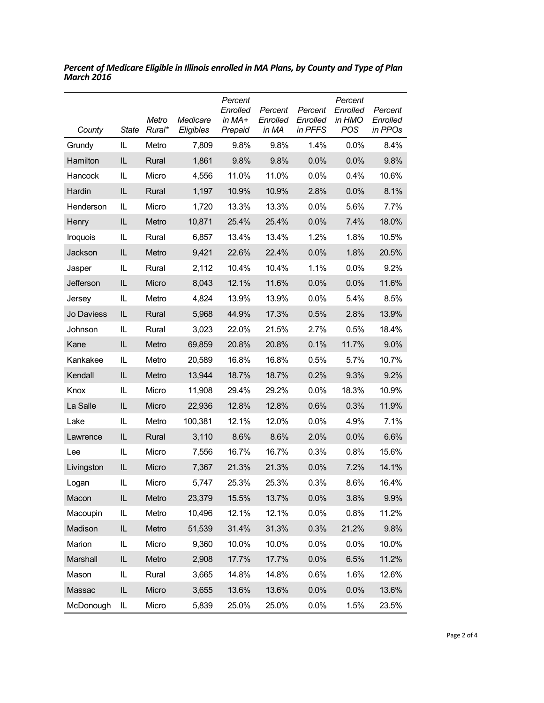| County     | State | Metro<br>Rural* | Medicare<br>Eligibles | Percent<br>Enrolled<br>in $MA+$<br>Prepaid | Percent<br>Enrolled<br>in MA | Percent<br>Enrolled<br>in PFFS | Percent<br>Enrolled<br>in HMO<br>POS | Percent<br>Enrolled<br>in PPOs |
|------------|-------|-----------------|-----------------------|--------------------------------------------|------------------------------|--------------------------------|--------------------------------------|--------------------------------|
| Grundy     | IL    | Metro           | 7,809                 | 9.8%                                       | 9.8%                         | 1.4%                           | 0.0%                                 | 8.4%                           |
| Hamilton   | IL    | Rural           | 1,861                 | 9.8%                                       | 9.8%                         | 0.0%                           | 0.0%                                 | 9.8%                           |
| Hancock    | IL    | Micro           | 4,556                 | 11.0%                                      | 11.0%                        | 0.0%                           | 0.4%                                 | 10.6%                          |
| Hardin     | IL    | Rural           | 1,197                 | 10.9%                                      | 10.9%                        | 2.8%                           | 0.0%                                 | 8.1%                           |
| Henderson  | IL    | Micro           | 1,720                 | 13.3%                                      | 13.3%                        | 0.0%                           | 5.6%                                 | 7.7%                           |
| Henry      | IL    | Metro           | 10,871                | 25.4%                                      | 25.4%                        | 0.0%                           | 7.4%                                 | 18.0%                          |
| Iroquois   | IL.   | Rural           | 6,857                 | 13.4%                                      | 13.4%                        | 1.2%                           | 1.8%                                 | 10.5%                          |
| Jackson    | IL    | Metro           | 9,421                 | 22.6%                                      | 22.4%                        | 0.0%                           | 1.8%                                 | 20.5%                          |
| Jasper     | IL    | Rural           | 2,112                 | 10.4%                                      | 10.4%                        | 1.1%                           | 0.0%                                 | 9.2%                           |
| Jefferson  | IL    | Micro           | 8,043                 | 12.1%                                      | 11.6%                        | 0.0%                           | 0.0%                                 | 11.6%                          |
| Jersey     | IL    | Metro           | 4,824                 | 13.9%                                      | 13.9%                        | 0.0%                           | 5.4%                                 | 8.5%                           |
| Jo Daviess | IL.   | Rural           | 5,968                 | 44.9%                                      | 17.3%                        | 0.5%                           | 2.8%                                 | 13.9%                          |
| Johnson    | IL    | Rural           | 3,023                 | 22.0%                                      | 21.5%                        | 2.7%                           | 0.5%                                 | 18.4%                          |
| Kane       | IL    | Metro           | 69,859                | 20.8%                                      | 20.8%                        | 0.1%                           | 11.7%                                | 9.0%                           |
| Kankakee   | IL    | Metro           | 20,589                | 16.8%                                      | 16.8%                        | 0.5%                           | 5.7%                                 | 10.7%                          |
| Kendall    | IL.   | Metro           | 13,944                | 18.7%                                      | 18.7%                        | 0.2%                           | 9.3%                                 | 9.2%                           |
| Knox       | IL    | Micro           | 11,908                | 29.4%                                      | 29.2%                        | 0.0%                           | 18.3%                                | 10.9%                          |
| La Salle   | IL    | Micro           | 22,936                | 12.8%                                      | 12.8%                        | 0.6%                           | 0.3%                                 | 11.9%                          |
| Lake       | IL    | Metro           | 100,381               | 12.1%                                      | 12.0%                        | 0.0%                           | 4.9%                                 | 7.1%                           |
| Lawrence   | IL.   | Rural           | 3,110                 | 8.6%                                       | 8.6%                         | 2.0%                           | 0.0%                                 | 6.6%                           |
| Lee        | IL    | Micro           | 7,556                 | 16.7%                                      | 16.7%                        | 0.3%                           | 0.8%                                 | 15.6%                          |
| Livingston | IL    | Micro           | 7,367                 | 21.3%                                      | 21.3%                        | 0.0%                           | 7.2%                                 | 14.1%                          |
| Logan      | IL.   | Micro           | 5,747                 | 25.3%                                      | 25.3%                        | 0.3%                           | 8.6%                                 | 16.4%                          |
| Macon      | IL    | Metro           | 23,379                | 15.5%                                      | 13.7%                        | 0.0%                           | 3.8%                                 | 9.9%                           |
| Macoupin   | IL    | Metro           | 10,496                | 12.1%                                      | 12.1%                        | 0.0%                           | 0.8%                                 | 11.2%                          |
| Madison    | IL    | Metro           | 51,539                | 31.4%                                      | 31.3%                        | 0.3%                           | 21.2%                                | 9.8%                           |
| Marion     | IL    | Micro           | 9,360                 | 10.0%                                      | 10.0%                        | 0.0%                           | 0.0%                                 | 10.0%                          |
| Marshall   | IL    | Metro           | 2,908                 | 17.7%                                      | 17.7%                        | 0.0%                           | 6.5%                                 | 11.2%                          |
| Mason      | IL    | Rural           | 3,665                 | 14.8%                                      | 14.8%                        | 0.6%                           | 1.6%                                 | 12.6%                          |
| Massac     | IL    | Micro           | 3,655                 | 13.6%                                      | 13.6%                        | 0.0%                           | 0.0%                                 | 13.6%                          |
| McDonough  | IL.   | Micro           | 5,839                 | 25.0%                                      | 25.0%                        | 0.0%                           | 1.5%                                 | 23.5%                          |

*Percent of Medicare Eligible in Illinois enrolled in MA Plans, by County and Type of Plan March 2016*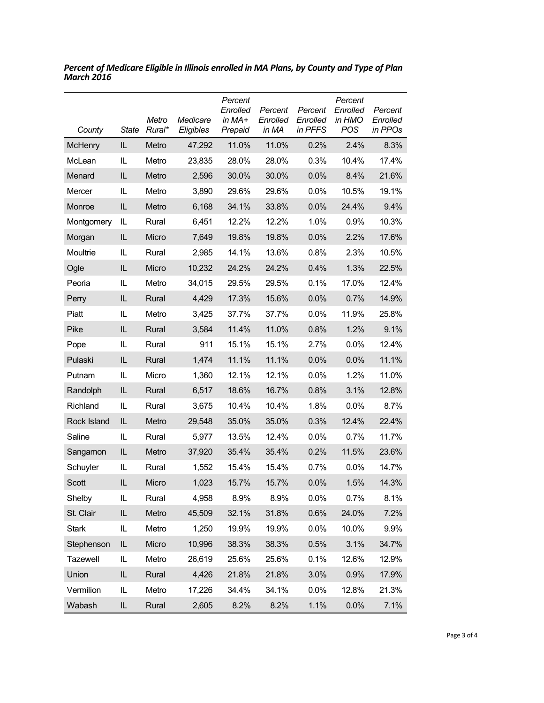| County          | State | Metro<br>Rural* | Medicare<br>Eligibles | Percent<br>Enrolled<br>in MA+<br>Prepaid | Percent<br>Enrolled<br>in MA | Percent<br>Enrolled<br>in PFFS | Percent<br>Enrolled<br>in HMO<br><b>POS</b> | Percent<br>Enrolled<br>in PPOs |
|-----------------|-------|-----------------|-----------------------|------------------------------------------|------------------------------|--------------------------------|---------------------------------------------|--------------------------------|
| <b>McHenry</b>  | IL.   | Metro           | 47,292                | 11.0%                                    | 11.0%                        | 0.2%                           | 2.4%                                        | 8.3%                           |
| McLean          | IL    | Metro           | 23,835                | 28.0%                                    | 28.0%                        | 0.3%                           | 10.4%                                       | 17.4%                          |
| Menard          | IL    | Metro           | 2,596                 | 30.0%                                    | 30.0%                        | 0.0%                           | 8.4%                                        | 21.6%                          |
| Mercer          | IL.   | Metro           | 3,890                 | 29.6%                                    | 29.6%                        | 0.0%                           | 10.5%                                       | 19.1%                          |
| Monroe          | IL    | Metro           | 6,168                 | 34.1%                                    | 33.8%                        | 0.0%                           | 24.4%                                       | 9.4%                           |
| Montgomery      | IL    | Rural           | 6,451                 | 12.2%                                    | 12.2%                        | 1.0%                           | 0.9%                                        | 10.3%                          |
| Morgan          | IL    | Micro           | 7,649                 | 19.8%                                    | 19.8%                        | 0.0%                           | 2.2%                                        | 17.6%                          |
| Moultrie        | IL    | Rural           | 2,985                 | 14.1%                                    | 13.6%                        | 0.8%                           | 2.3%                                        | 10.5%                          |
| Ogle            | IL    | Micro           | 10,232                | 24.2%                                    | 24.2%                        | 0.4%                           | 1.3%                                        | 22.5%                          |
| Peoria          | IL    | Metro           | 34,015                | 29.5%                                    | 29.5%                        | 0.1%                           | 17.0%                                       | 12.4%                          |
| Perry           | IL.   | Rural           | 4,429                 | 17.3%                                    | 15.6%                        | 0.0%                           | 0.7%                                        | 14.9%                          |
| Piatt           | IL    | Metro           | 3,425                 | 37.7%                                    | 37.7%                        | 0.0%                           | 11.9%                                       | 25.8%                          |
| Pike            | IL    | Rural           | 3,584                 | 11.4%                                    | 11.0%                        | 0.8%                           | 1.2%                                        | 9.1%                           |
| Pope            | IL.   | Rural           | 911                   | 15.1%                                    | 15.1%                        | 2.7%                           | 0.0%                                        | 12.4%                          |
| Pulaski         | IL    | Rural           | 1,474                 | 11.1%                                    | 11.1%                        | 0.0%                           | 0.0%                                        | 11.1%                          |
| Putnam          | IL    | Micro           | 1,360                 | 12.1%                                    | 12.1%                        | $0.0\%$                        | 1.2%                                        | 11.0%                          |
| Randolph        | IL    | Rural           | 6,517                 | 18.6%                                    | 16.7%                        | 0.8%                           | 3.1%                                        | 12.8%                          |
| Richland        | IL    | Rural           | 3,675                 | 10.4%                                    | 10.4%                        | 1.8%                           | $0.0\%$                                     | 8.7%                           |
| Rock Island     | IL.   | Metro           | 29,548                | 35.0%                                    | 35.0%                        | 0.3%                           | 12.4%                                       | 22.4%                          |
| Saline          | IL    | Rural           | 5,977                 | 13.5%                                    | 12.4%                        | 0.0%                           | 0.7%                                        | 11.7%                          |
| Sangamon        | IL    | Metro           | 37,920                | 35.4%                                    | 35.4%                        | 0.2%                           | 11.5%                                       | 23.6%                          |
| Schuyler        | IL    | Rural           | 1,552                 | 15.4%                                    | 15.4%                        | 0.7%                           | $0.0\%$                                     | 14.7%                          |
| Scott           | IL    | Micro           | 1,023                 | 15.7%                                    | 15.7%                        | 0.0%                           | 1.5%                                        | 14.3%                          |
| Shelby          | IL    | Rural           | 4,958                 | 8.9%                                     | 8.9%                         | 0.0%                           | 0.7%                                        | 8.1%                           |
| St. Clair       | IL    | Metro           | 45,509                | 32.1%                                    | 31.8%                        | 0.6%                           | 24.0%                                       | 7.2%                           |
| <b>Stark</b>    | IL    | Metro           | 1,250                 | 19.9%                                    | 19.9%                        | 0.0%                           | 10.0%                                       | 9.9%                           |
| Stephenson      | IL    | Micro           | 10,996                | 38.3%                                    | 38.3%                        | 0.5%                           | 3.1%                                        | 34.7%                          |
| <b>Tazewell</b> | IL    | Metro           | 26,619                | 25.6%                                    | 25.6%                        | 0.1%                           | 12.6%                                       | 12.9%                          |
| Union           | IL    | Rural           | 4,426                 | 21.8%                                    | 21.8%                        | 3.0%                           | 0.9%                                        | 17.9%                          |
| Vermilion       | IL    | Metro           | 17,226                | 34.4%                                    | 34.1%                        | 0.0%                           | 12.8%                                       | 21.3%                          |
| Wabash          | IL    | Rural           | 2,605                 | 8.2%                                     | 8.2%                         | 1.1%                           | 0.0%                                        | 7.1%                           |

*Percent of Medicare Eligible in Illinois enrolled in MA Plans, by County and Type of Plan March 2016*